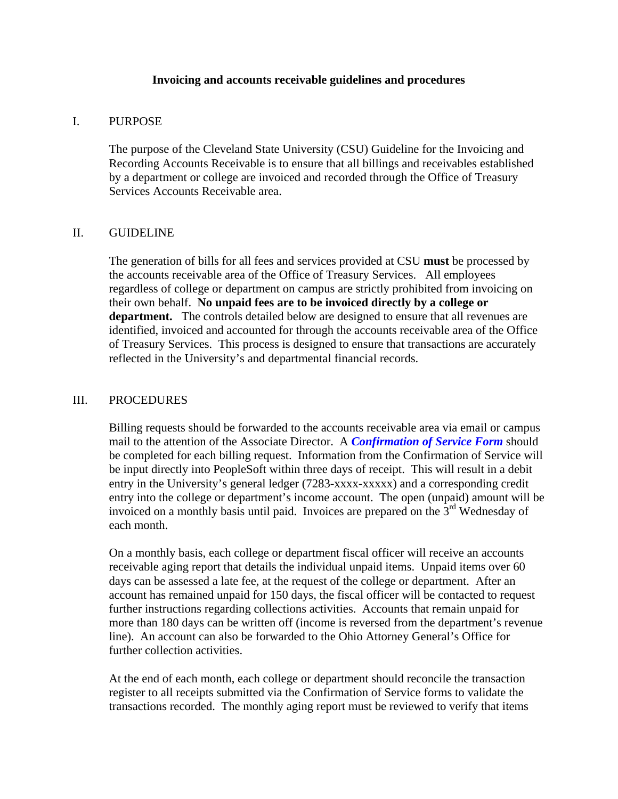#### **Invoicing and accounts receivable guidelines and procedures**

# I. PURPOSE

The purpose of the Cleveland State University (CSU) Guideline for the Invoicing and Recording Accounts Receivable is to ensure that all billings and receivables established by a department or college are invoiced and recorded through the Office of Treasury Services Accounts Receivable area.

## II. GUIDELINE

The generation of bills for all fees and services provided at CSU **must** be processed by the accounts receivable area of the Office of Treasury Services. All employees regardless of college or department on campus are strictly prohibited from invoicing on their own behalf. **No unpaid fees are to be invoiced directly by a college or department.** The controls detailed below are designed to ensure that all revenues are identified, invoiced and accounted for through the accounts receivable area of the Office of Treasury Services. This process is designed to ensure that transactions are accurately reflected in the University's and departmental financial records.

## III. PROCEDURES

Billing requests should be forwarded to the accounts receivable area via email or campus mail to the attention of the Associate Director. A *Confirmation of Service Form* should be completed for each billing request. Information from the Confirmation of Service will be input directly into PeopleSoft within three days of receipt. This will result in a debit entry in the University's general ledger (7283-xxxx-xxxxx) and a corresponding credit entry into the college or department's income account. The open (unpaid) amount will be invoiced on a monthly basis until paid. Invoices are prepared on the 3<sup>rd</sup> Wednesday of each month.

On a monthly basis, each college or department fiscal officer will receive an accounts receivable aging report that details the individual unpaid items. Unpaid items over 60 days can be assessed a late fee, at the request of the college or department. After an account has remained unpaid for 150 days, the fiscal officer will be contacted to request further instructions regarding collections activities. Accounts that remain unpaid for more than 180 days can be written off (income is reversed from the department's revenue line). An account can also be forwarded to the Ohio Attorney General's Office for further collection activities.

At the end of each month, each college or department should reconcile the transaction register to all receipts submitted via the Confirmation of Service forms to validate the transactions recorded. The monthly aging report must be reviewed to verify that items